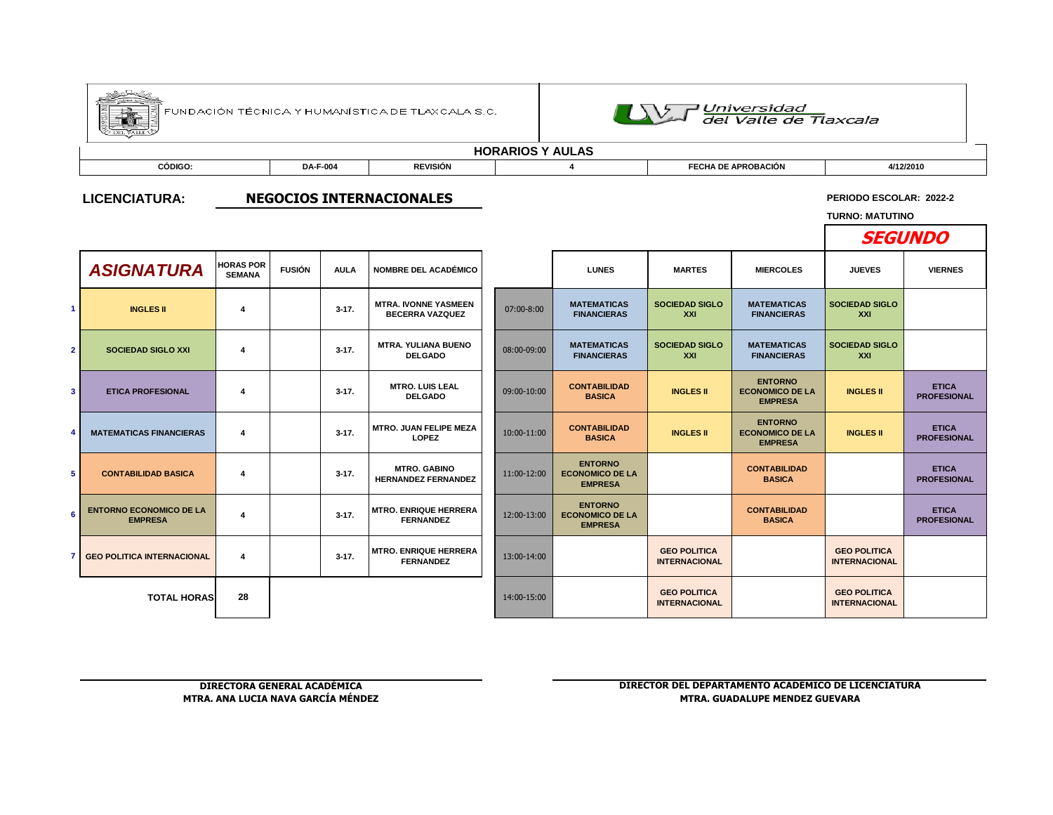|                          |                                                  |                                   |                 |             | FUNDACIÓN TÉCNICA Y HUMANÍSTICA DE TLAXCALA S.C.      |             | UNI Universidad<br>del Valle de Tlaxcala                   |                                             |                                                            |                                                   |                                    |  |  |  |  |  |
|--------------------------|--------------------------------------------------|-----------------------------------|-----------------|-------------|-------------------------------------------------------|-------------|------------------------------------------------------------|---------------------------------------------|------------------------------------------------------------|---------------------------------------------------|------------------------------------|--|--|--|--|--|
|                          |                                                  |                                   |                 |             |                                                       |             | <b>HORARIOS Y AULAS</b>                                    |                                             |                                                            |                                                   |                                    |  |  |  |  |  |
|                          | CÓDIGO:                                          |                                   | <b>DA-F-004</b> |             | <b>REVISIÓN</b>                                       |             | 4                                                          | <b>FECHA DE APROBACIÓN</b>                  |                                                            | 4/12/2010                                         |                                    |  |  |  |  |  |
|                          | <b>LICENCIATURA:</b>                             |                                   |                 |             | <b>NEGOCIOS INTERNACIONALES</b>                       |             |                                                            |                                             |                                                            | PERIODO ESCOLAR: 2022-2<br><b>TURNO: MATUTINO</b> |                                    |  |  |  |  |  |
|                          |                                                  |                                   |                 |             |                                                       |             |                                                            |                                             |                                                            |                                                   | <b>SEGUNDO</b>                     |  |  |  |  |  |
|                          | <b>ASIGNATURA</b>                                | <b>HORAS POR</b><br><b>SEMANA</b> | <b>FUSIÓN</b>   | <b>AULA</b> | <b>NOMBRE DEL ACADÉMICO</b>                           |             | <b>LUNES</b>                                               | <b>MARTES</b>                               | <b>MIERCOLES</b>                                           | <b>JUEVES</b>                                     | <b>VIERNES</b>                     |  |  |  |  |  |
| $\mathbf{1}$             | <b>INGLES II</b>                                 | $\overline{\mathbf{4}}$           |                 | $3-17.$     | <b>MTRA. IVONNE YASMEEN</b><br><b>BECERRA VAZQUEZ</b> | 07:00-8:00  | <b>MATEMATICAS</b><br><b>FINANCIERAS</b>                   | <b>SOCIEDAD SIGLO</b><br><b>XXI</b>         | <b>MATEMATICAS</b><br><b>FINANCIERAS</b>                   | <b>SOCIEDAD SIGLO</b><br>XXI                      |                                    |  |  |  |  |  |
| $\overline{2}$           | <b>SOCIEDAD SIGLO XXI</b>                        | 4                                 |                 | $3-17.$     | <b>MTRA. YULIANA BUENO</b><br><b>DELGADO</b>          | 08:00-09:00 | <b>MATEMATICAS</b><br><b>FINANCIERAS</b>                   | <b>SOCIEDAD SIGLO</b><br>XXI                | <b>MATEMATICAS</b><br><b>FINANCIERAS</b>                   | <b>SOCIEDAD SIGLO</b><br>XXI                      |                                    |  |  |  |  |  |
| $\mathbf{3}$             | <b>ETICA PROFESIONAL</b>                         | 4                                 |                 | $3-17.$     | <b>MTRO. LUIS LEAL</b><br><b>DELGADO</b>              | 09:00-10:00 | <b>CONTABILIDAD</b><br><b>BASICA</b>                       | <b>INGLES II</b>                            | <b>ENTORNO</b><br><b>ECONOMICO DE LA</b><br><b>EMPRESA</b> | <b>INGLES II</b>                                  | <b>ETICA</b><br><b>PROFESIONAL</b> |  |  |  |  |  |
| $\overline{\bf{4}}$      | <b>MATEMATICAS FINANCIERAS</b>                   | 4                                 |                 | $3-17.$     | <b>MTRO. JUAN FELIPE MEZA</b><br><b>LOPEZ</b>         | 10:00-11:00 | <b>CONTABILIDAD</b><br><b>BASICA</b>                       | <b>INGLES II</b>                            | <b>ENTORNO</b><br><b>ECONOMICO DE LA</b><br><b>EMPRESA</b> | <b>INGLES II</b>                                  | <b>ETICA</b><br><b>PROFESIONAL</b> |  |  |  |  |  |
| 5                        | <b>CONTABILIDAD BASICA</b>                       | 4                                 |                 | $3-17.$     | <b>MTRO, GABINO</b><br><b>HERNANDEZ FERNANDEZ</b>     | 11:00-12:00 | <b>ENTORNO</b><br><b>ECONOMICO DE LA</b><br><b>EMPRESA</b> |                                             | <b>CONTABILIDAD</b><br><b>BASICA</b>                       |                                                   | <b>ETICA</b><br><b>PROFESIONAL</b> |  |  |  |  |  |
| 6                        | <b>ENTORNO ECONOMICO DE LA</b><br><b>EMPRESA</b> | $\overline{\mathbf{4}}$           |                 | $3 - 17.$   | <b>MTRO. ENRIQUE HERRERA</b><br><b>FERNANDEZ</b>      | 12:00-13:00 | <b>ENTORNO</b><br><b>ECONOMICO DE LA</b><br><b>EMPRESA</b> |                                             | <b>CONTABILIDAD</b><br><b>BASICA</b>                       |                                                   | <b>ETICA</b><br><b>PROFESIONAL</b> |  |  |  |  |  |
| $\overline{7}$           | <b>GEO POLITICA INTERNACIONAL</b>                | 4                                 |                 | $3-17.$     | <b>MTRO. ENRIQUE HERRERA</b><br><b>FERNANDEZ</b>      | 13:00-14:00 |                                                            | <b>GEO POLITICA</b><br><b>INTERNACIONAL</b> |                                                            | <b>GEO POLITICA</b><br><b>INTERNACIONAL</b>       |                                    |  |  |  |  |  |
| 28<br><b>TOTAL HORAS</b> |                                                  |                                   |                 |             | 14:00-15:00                                           |             | <b>GEO POLITICA</b><br><b>INTERNACIONAL</b>                |                                             | <b>GEO POLITICA</b><br><b>INTERNACIONAL</b>                |                                                   |                                    |  |  |  |  |  |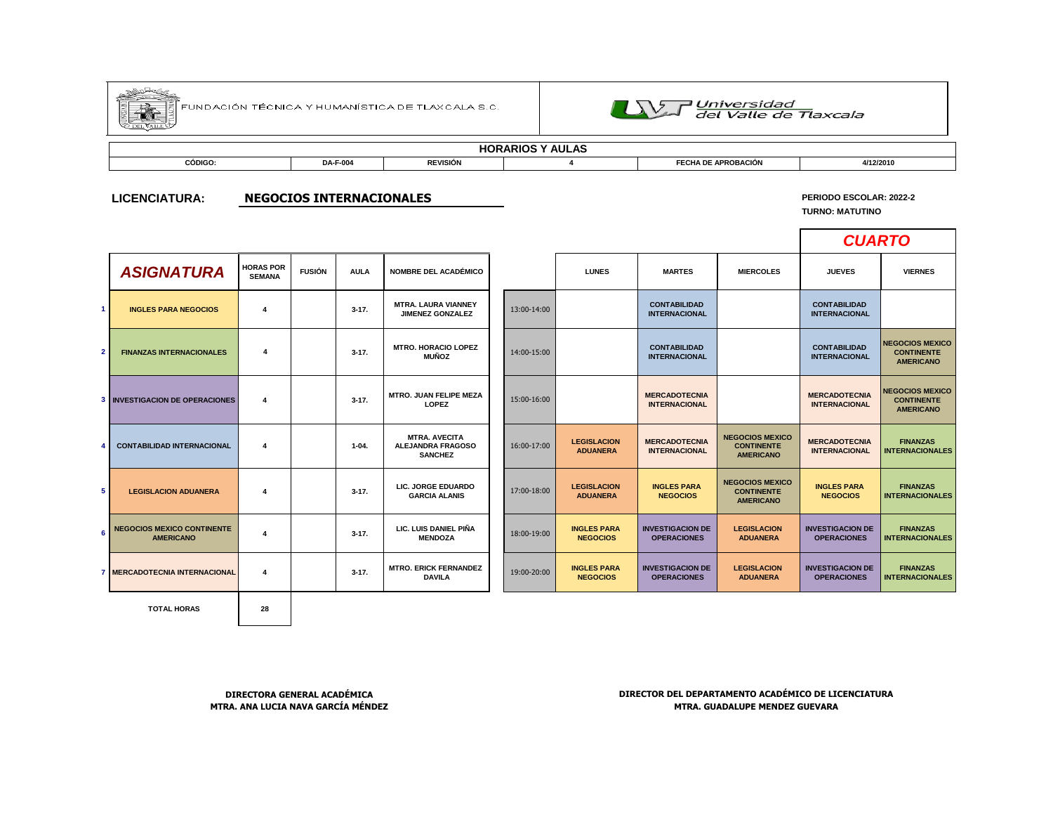

FUNDACIÓN TÉCNICA Y HUMANÍSTICA DE TLAX CALA S.C.



## **HORARIOS Y AULAS**

| CÓDIGO: | DA-F-004 | <b>REVISIÓN</b> | <b>\ DE APROBACIÓN</b><br><b>-0114</b><br>ELHA. | 4/12/2010 |
|---------|----------|-----------------|-------------------------------------------------|-----------|
|         |          |                 |                                                 |           |

#### **LICENCIATURA: NEGOCIOS INTERNACIONALES**

# **PERIODO ESCOLAR: 2022-2**

**TURNO: MATUTINO**

Г

|              |                                                       |                                   |               |             |                                                                    |             |                                       |                                               |                                                                 | <b>CUARTO</b>                                 |                                                                 |
|--------------|-------------------------------------------------------|-----------------------------------|---------------|-------------|--------------------------------------------------------------------|-------------|---------------------------------------|-----------------------------------------------|-----------------------------------------------------------------|-----------------------------------------------|-----------------------------------------------------------------|
|              | <b>ASIGNATURA</b>                                     | <b>HORAS POR</b><br><b>SEMANA</b> | <b>FUSIÓN</b> | <b>AULA</b> | <b>NOMBRE DEL ACADÉMICO</b>                                        |             | <b>LUNES</b>                          | <b>MARTES</b>                                 | <b>MIERCOLES</b>                                                | <b>JUEVES</b>                                 | <b>VIERNES</b>                                                  |
| $\mathbf{1}$ | <b>INGLES PARA NEGOCIOS</b>                           | $\overline{\mathbf{4}}$           |               | $3 - 17$ .  | <b>MTRA. LAURA VIANNEY</b><br><b>JIMENEZ GONZALEZ</b>              | 13:00-14:00 |                                       | <b>CONTABILIDAD</b><br><b>INTERNACIONAL</b>   |                                                                 | <b>CONTABILIDAD</b><br><b>INTERNACIONAL</b>   |                                                                 |
| $\mathbf{2}$ | <b>FINANZAS INTERNACIONALES</b>                       | 4                                 |               | $3 - 17$ .  | <b>MTRO. HORACIO LOPEZ</b><br><b>MUÑOZ</b>                         | 14:00-15:00 |                                       | <b>CONTABILIDAD</b><br><b>INTERNACIONAL</b>   |                                                                 | <b>CONTABILIDAD</b><br><b>INTERNACIONAL</b>   | <b>NEGOCIOS MEXICO</b><br><b>CONTINENTE</b><br><b>AMERICANO</b> |
|              | <b>3 INVESTIGACION DE OPERACIONES</b>                 | $\overline{4}$                    |               | $3 - 17$ .  | <b>MTRO. JUAN FELIPE MEZA</b><br>LOPEZ                             | 15:00-16:00 |                                       | <b>MERCADOTECNIA</b><br><b>INTERNACIONAL</b>  |                                                                 | <b>MERCADOTECNIA</b><br><b>INTERNACIONAL</b>  | <b>NEGOCIOS MEXICO</b><br><b>CONTINENTE</b><br><b>AMERICANO</b> |
| 4            | <b>CONTABILIDAD INTERNACIONAL</b>                     | $\overline{4}$                    |               | $1-04.$     | <b>MTRA, AVECITA</b><br><b>ALEJANDRA FRAGOSO</b><br><b>SANCHEZ</b> | 16:00-17:00 | <b>LEGISLACION</b><br><b>ADUANERA</b> | <b>MERCADOTECNIA</b><br><b>INTERNACIONAL</b>  | <b>NEGOCIOS MEXICO</b><br><b>CONTINENTE</b><br><b>AMERICANO</b> | <b>MERCADOTECNIA</b><br><b>INTERNACIONAL</b>  | <b>FINANZAS</b><br><b>INTERNACIONALES</b>                       |
| 5            | <b>LEGISLACION ADUANERA</b>                           | $\overline{4}$                    |               | $3 - 17$ .  | LIC. JORGE EDUARDO<br><b>GARCIA ALANIS</b>                         | 17:00-18:00 | <b>LEGISLACION</b><br><b>ADUANERA</b> | <b>INGLES PARA</b><br><b>NEGOCIOS</b>         | <b>NEGOCIOS MEXICO</b><br><b>CONTINENTE</b><br><b>AMERICANO</b> | <b>INGLES PARA</b><br><b>NEGOCIOS</b>         | <b>FINANZAS</b><br><b>INTERNACIONALES</b>                       |
| 6            | <b>NEGOCIOS MEXICO CONTINENTE</b><br><b>AMERICANO</b> | $\overline{4}$                    |               | $3 - 17$ .  | LIC. LUIS DANIEL PIÑA<br><b>MENDOZA</b>                            | 18:00-19:00 | <b>INGLES PARA</b><br><b>NEGOCIOS</b> | <b>INVESTIGACION DE</b><br><b>OPERACIONES</b> | <b>LEGISLACION</b><br><b>ADUANERA</b>                           | <b>INVESTIGACION DE</b><br><b>OPERACIONES</b> | <b>FINANZAS</b><br><b>INTERNACIONALES</b>                       |
|              | 7 MERCADOTECNIA INTERNACIONAL                         | 4                                 |               | $3 - 17$ .  | <b>MTRO, ERICK FERNANDEZ</b><br><b>DAVILA</b>                      | 19:00-20:00 | <b>INGLES PARA</b><br><b>NEGOCIOS</b> | <b>INVESTIGACION DE</b><br><b>OPERACIONES</b> | <b>LEGISLACION</b><br><b>ADUANERA</b>                           | <b>INVESTIGACION DE</b><br><b>OPERACIONES</b> | <b>FINANZAS</b><br><b>INTERNACIONALES</b>                       |
|              |                                                       |                                   |               |             |                                                                    |             |                                       |                                               |                                                                 |                                               |                                                                 |

**TOTAL HORAS 28**

**DIRECTORA GENERAL ACADÉMICA DIRECTOR DEL DEPARTAMENTO ACADÉMICO DE LICENCIATURA MTRA. ANA LUCIA NAVA GARCÍA MÉNDEZ MTRA. GUADALUPE MENDEZ GUEVARA**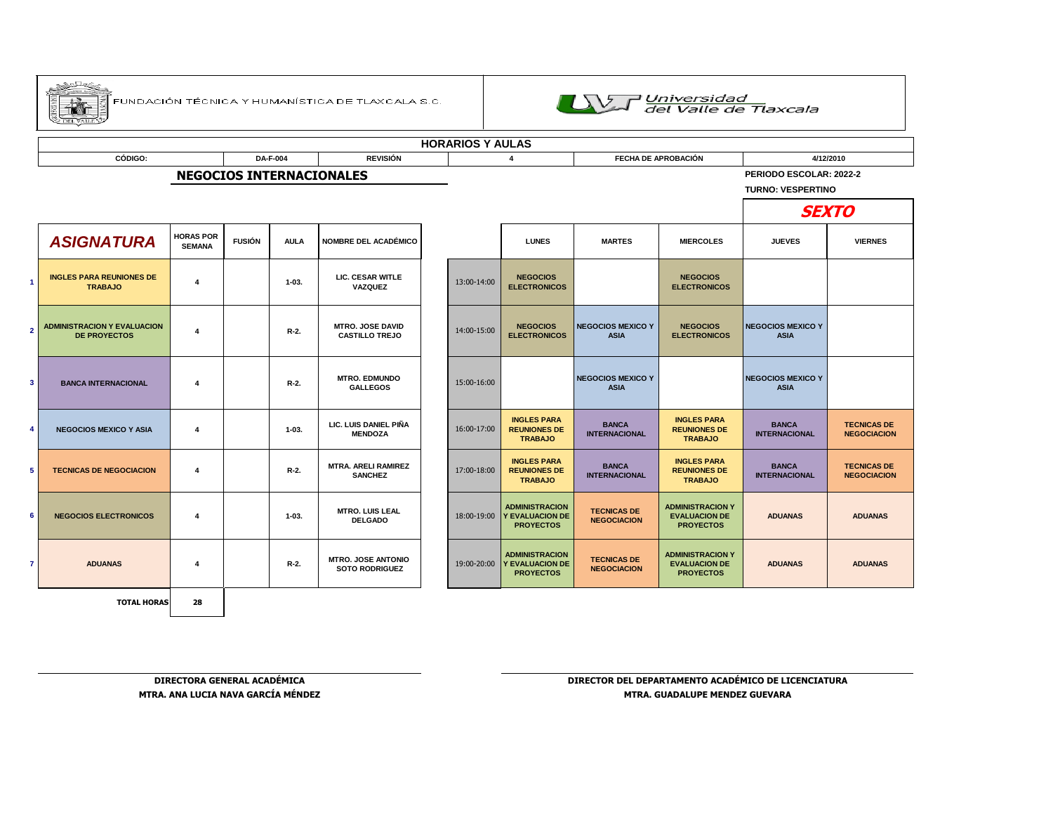

|                                               | <b>HORARIOS Y AULAS</b>                                   |                                   |               |             |                                                    |  |                            |                                                                     |                                          |                                                                     |                                         |                                          |  |  |
|-----------------------------------------------|-----------------------------------------------------------|-----------------------------------|---------------|-------------|----------------------------------------------------|--|----------------------------|---------------------------------------------------------------------|------------------------------------------|---------------------------------------------------------------------|-----------------------------------------|------------------------------------------|--|--|
| <b>REVISIÓN</b><br>CÓDIGO:<br><b>DA-F-004</b> |                                                           |                                   |               |             |                                                    |  | <b>FECHA DE APROBACIÓN</b> | 4/12/2010                                                           |                                          |                                                                     |                                         |                                          |  |  |
|                                               |                                                           |                                   |               |             | <b>NEGOCIOS INTERNACIONALES</b>                    |  |                            |                                                                     |                                          | PERIODO ESCOLAR: 2022-2<br><b>TURNO: VESPERTINO</b>                 |                                         |                                          |  |  |
|                                               |                                                           |                                   | <b>SEXTO</b>  |             |                                                    |  |                            |                                                                     |                                          |                                                                     |                                         |                                          |  |  |
|                                               | <b>ASIGNATURA</b>                                         | <b>HORAS POR</b><br><b>SEMANA</b> | <b>FUSIÓN</b> | <b>AULA</b> | <b>NOMBRE DEL ACADÉMICO</b>                        |  |                            | <b>LUNES</b>                                                        | <b>MARTES</b>                            | <b>MIERCOLES</b>                                                    | <b>JUEVES</b>                           | <b>VIERNES</b>                           |  |  |
|                                               | <b>INGLES PARA REUNIONES DE</b><br><b>TRABAJO</b>         | $\overline{4}$                    |               | $1-03.$     | <b>LIC. CESAR WITLE</b><br>VAZQUEZ                 |  | 13:00-14:00                | <b>NEGOCIOS</b><br><b>ELECTRONICOS</b>                              |                                          | <b>NEGOCIOS</b><br><b>ELECTRONICOS</b>                              |                                         |                                          |  |  |
|                                               | <b>ADMINISTRACION Y EVALUACION</b><br><b>DE PROYECTOS</b> | $\overline{4}$                    |               | $R-2$ .     | <b>MTRO, JOSE DAVID</b><br><b>CASTILLO TREJO</b>   |  | 14:00-15:00                | <b>NEGOCIOS</b><br><b>ELECTRONICOS</b>                              | <b>NEGOCIOS MEXICO Y</b><br><b>ASIA</b>  | <b>NEGOCIOS</b><br><b>ELECTRONICOS</b>                              | <b>NEGOCIOS MEXICO Y</b><br><b>ASIA</b> |                                          |  |  |
|                                               | <b>BANCA INTERNACIONAL</b>                                | 4                                 |               | R-2.        | <b>MTRO, EDMUNDO</b><br><b>GALLEGOS</b>            |  | 15:00-16:00                |                                                                     | <b>NEGOCIOS MEXICO Y</b><br><b>ASIA</b>  |                                                                     | <b>NEGOCIOS MEXICO Y</b><br><b>ASIA</b> |                                          |  |  |
|                                               | <b>NEGOCIOS MEXICO Y ASIA</b>                             | $\overline{4}$                    |               | $1 - 03.$   | LIC. LUIS DANIEL PIÑA<br><b>MENDOZA</b>            |  | 16:00-17:00                | <b>INGLES PARA</b><br><b>REUNIONES DE</b><br><b>TRABAJO</b>         | <b>BANCA</b><br><b>INTERNACIONAL</b>     | <b>INGLES PARA</b><br><b>REUNIONES DE</b><br><b>TRABAJO</b>         | <b>BANCA</b><br><b>INTERNACIONAL</b>    | <b>TECNICAS DE</b><br><b>NEGOCIACION</b> |  |  |
|                                               | <b>TECNICAS DE NEGOCIACION</b>                            | $\overline{4}$                    |               | $R-2$ .     | <b>MTRA, ARELI RAMIREZ</b><br><b>SANCHEZ</b>       |  | 17:00-18:00                | <b>INGLES PARA</b><br><b>REUNIONES DE</b><br><b>TRABAJO</b>         | <b>BANCA</b><br><b>INTERNACIONAL</b>     | <b>INGLES PARA</b><br><b>REUNIONES DE</b><br><b>TRABAJO</b>         | <b>BANCA</b><br><b>INTERNACIONAL</b>    | <b>TECNICAS DE</b><br><b>NEGOCIACION</b> |  |  |
|                                               | <b>NEGOCIOS ELECTRONICOS</b>                              | $\overline{4}$                    |               | $1 - 03.$   | <b>MTRO. LUIS LEAL</b><br><b>DELGADO</b>           |  | 18:00-19:00                | <b>ADMINISTRACION</b><br><b>Y EVALUACION DE</b><br><b>PROYECTOS</b> | <b>TECNICAS DE</b><br><b>NEGOCIACION</b> | <b>ADMINISTRACION Y</b><br><b>EVALUACION DE</b><br><b>PROYECTOS</b> | <b>ADUANAS</b>                          | <b>ADUANAS</b>                           |  |  |
|                                               | <b>ADUANAS</b>                                            | 4                                 |               | R-2.        | <b>MTRO. JOSE ANTONIO</b><br><b>SOTO RODRIGUEZ</b> |  | 19:00-20:00                | <b>ADMINISTRACION</b><br><b>Y EVALUACION DE</b><br><b>PROYECTOS</b> | <b>TECNICAS DE</b><br><b>NEGOCIACION</b> | <b>ADMINISTRACION Y</b><br><b>EVALUACION DE</b><br><b>PROYECTOS</b> | <b>ADUANAS</b>                          | <b>ADUANAS</b>                           |  |  |
|                                               | <b>TOTAL HORAS</b>                                        | 28                                |               |             |                                                    |  |                            |                                                                     |                                          |                                                                     |                                         |                                          |  |  |

**DIRECTORA GENERAL ACADÉMICA DIRECTOR DEL DEPARTAMENTO ACADÉMICO DE LICENCIATURA MTRA. ANA LUCIA NAVA GARCÍA MÉNDEZ MTRA. GUADALUPE MENDEZ GUEVARA**